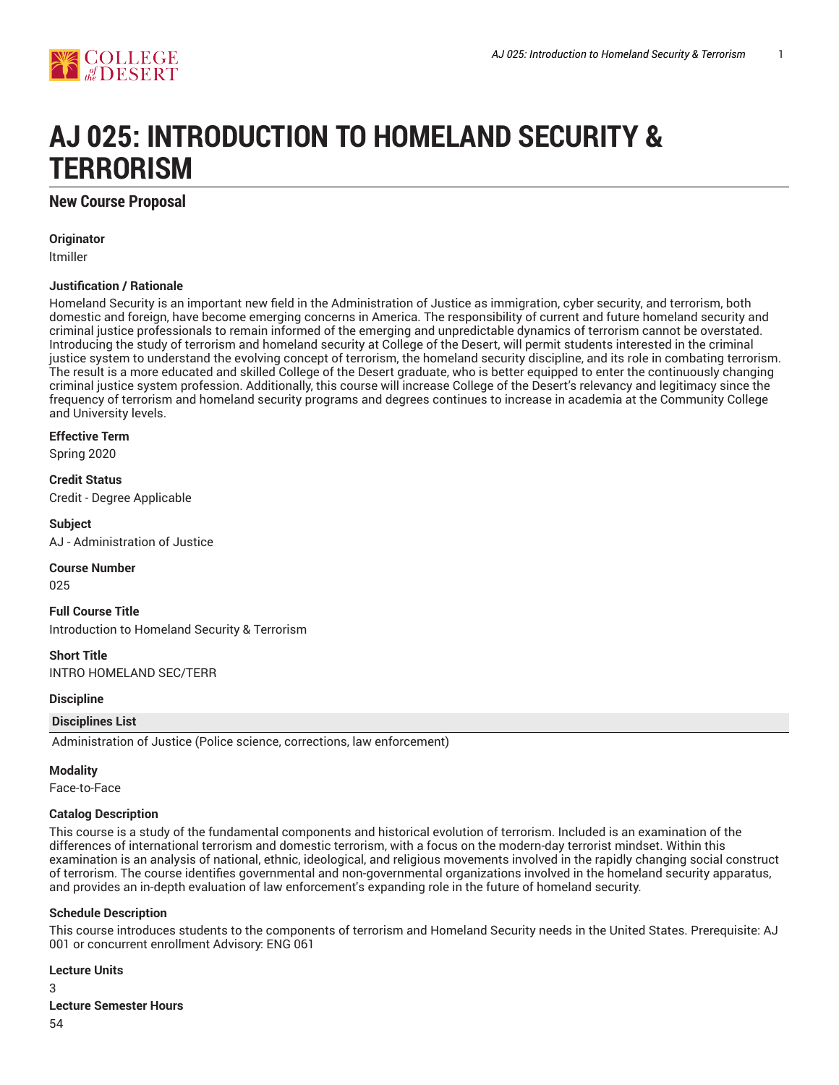

# **AJ 025: INTRODUCTION TO HOMELAND SECURITY & TERRORISM**

## **New Course Proposal**

**Originator**

ltmiller

## **Justification / Rationale**

Homeland Security is an important new field in the Administration of Justice as immigration, cyber security, and terrorism, both domestic and foreign, have become emerging concerns in America. The responsibility of current and future homeland security and criminal justice professionals to remain informed of the emerging and unpredictable dynamics of terrorism cannot be overstated. Introducing the study of terrorism and homeland security at College of the Desert, will permit students interested in the criminal justice system to understand the evolving concept of terrorism, the homeland security discipline, and its role in combating terrorism. The result is a more educated and skilled College of the Desert graduate, who is better equipped to enter the continuously changing criminal justice system profession. Additionally, this course will increase College of the Desert's relevancy and legitimacy since the frequency of terrorism and homeland security programs and degrees continues to increase in academia at the Community College and University levels.

**Effective Term**

Spring 2020

**Credit Status** Credit - Degree Applicable

**Subject** AJ - Administration of Justice

## **Course Number**

025

**Full Course Title** Introduction to Homeland Security & Terrorism

**Short Title**

INTRO HOMELAND SEC/TERR

## **Discipline**

## **Disciplines List**

Administration of Justice (Police science, corrections, law enforcement)

## **Modality**

Face-to-Face

## **Catalog Description**

This course is a study of the fundamental components and historical evolution of terrorism. Included is an examination of the differences of international terrorism and domestic terrorism, with a focus on the modern-day terrorist mindset. Within this examination is an analysis of national, ethnic, ideological, and religious movements involved in the rapidly changing social construct of terrorism. The course identifies governmental and non-governmental organizations involved in the homeland security apparatus, and provides an in-depth evaluation of law enforcement's expanding role in the future of homeland security.

## **Schedule Description**

This course introduces students to the components of terrorism and Homeland Security needs in the United States. Prerequisite: AJ 001 or concurrent enrollment Advisory: ENG 061

## **Lecture Units**

3

## **Lecture Semester Hours**

54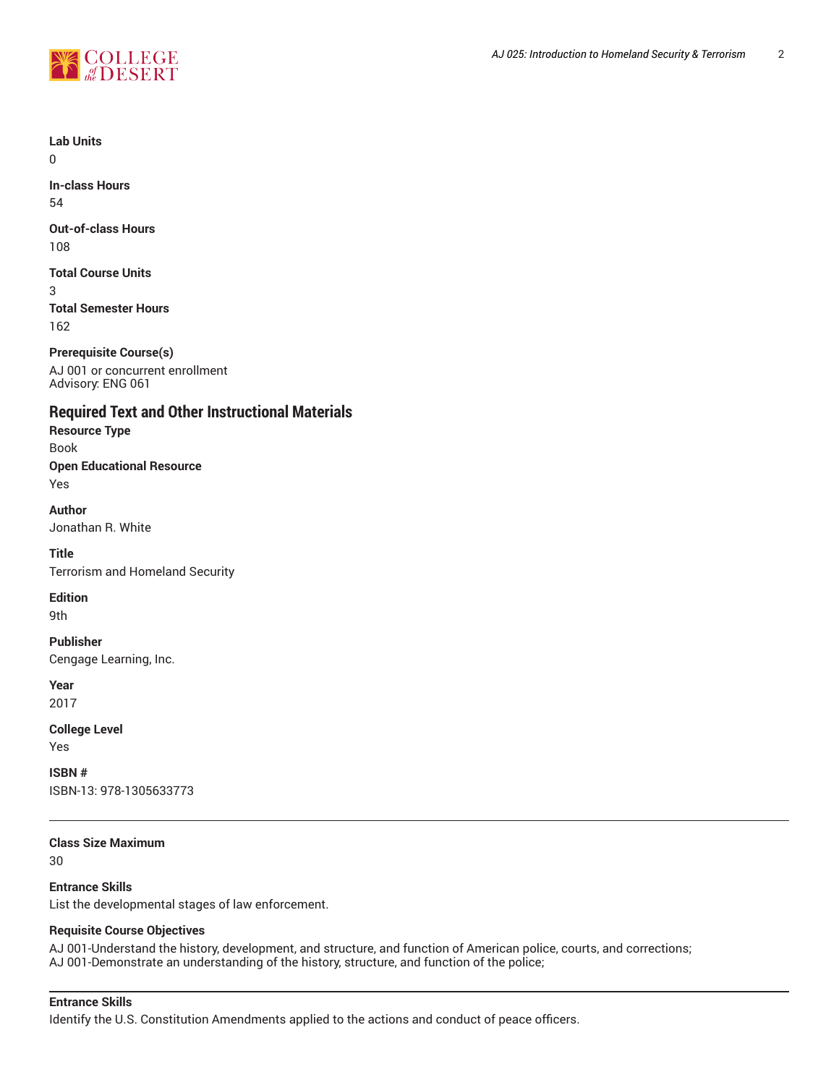

**Lab Units**

 $\Omega$ 

**In-class Hours** 54

**Out-of-class Hours** 108

**Total Course Units** 3 **Total Semester Hours** 162

**Prerequisite Course(s)** AJ 001 or concurrent enrollment Advisory: ENG 061

**Required Text and Other Instructional Materials**

**Resource Type** Book **Open Educational Resource** Yes

**Author** Jonathan R. White

**Title** Terrorism and Homeland Security

**Edition**

9th

**Publisher** Cengage Learning, Inc.

**Year**

2017

**College Level** Yes

**ISBN #** ISBN-13: 978-1305633773

**Class Size Maximum**

30

**Entrance Skills**

List the developmental stages of law enforcement.

## **Requisite Course Objectives**

AJ 001-Understand the history, development, and structure, and function of American police, courts, and corrections; AJ 001-Demonstrate an understanding of the history, structure, and function of the police;

## **Entrance Skills**

Identify the U.S. Constitution Amendments applied to the actions and conduct of peace officers.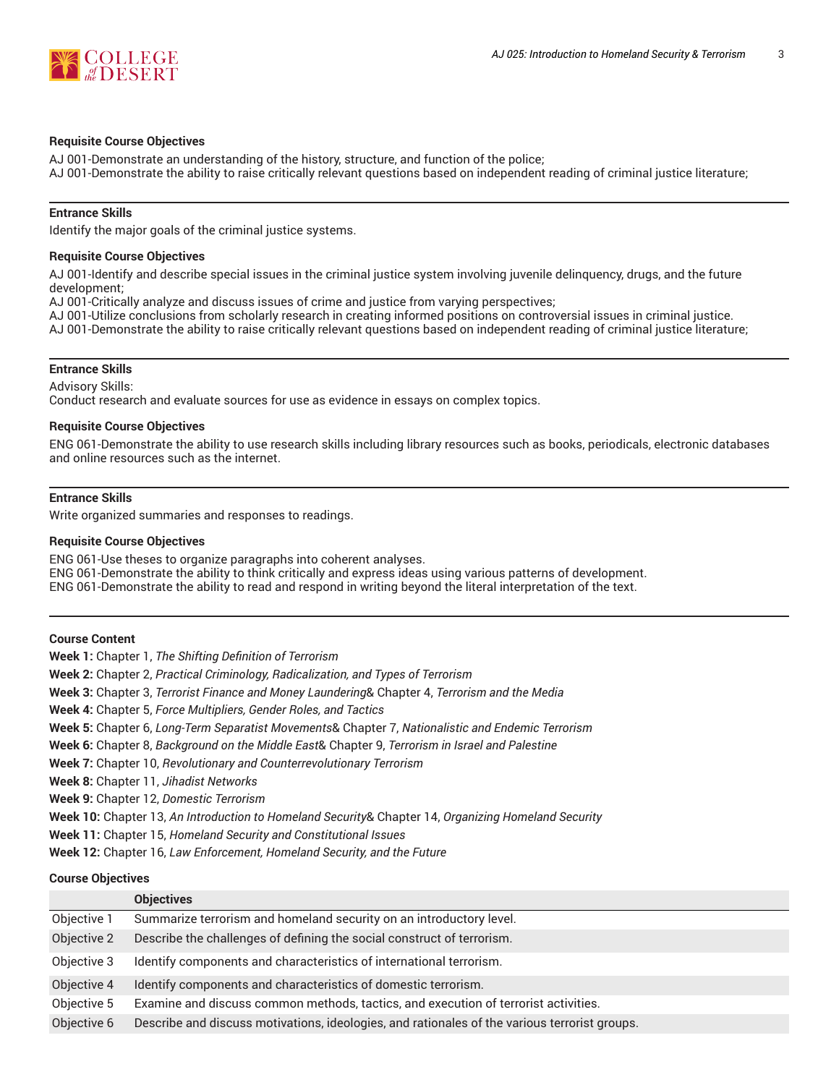

## **Requisite Course Objectives**

AJ 001-Demonstrate an understanding of the history, structure, and function of the police; AJ 001-Demonstrate the ability to raise critically relevant questions based on independent reading of criminal justice literature;

## **Entrance Skills**

Identify the major goals of the criminal justice systems.

## **Requisite Course Objectives**

AJ 001-Identify and describe special issues in the criminal justice system involving juvenile delinquency, drugs, and the future development;

AJ 001-Critically analyze and discuss issues of crime and justice from varying perspectives;

AJ 001-Utilize conclusions from scholarly research in creating informed positions on controversial issues in criminal justice.

AJ 001-Demonstrate the ability to raise critically relevant questions based on independent reading of criminal justice literature;

## **Entrance Skills**

Advisory Skills: Conduct research and evaluate sources for use as evidence in essays on complex topics.

## **Requisite Course Objectives**

ENG 061-Demonstrate the ability to use research skills including library resources such as books, periodicals, electronic databases and online resources such as the internet.

## **Entrance Skills**

Write organized summaries and responses to readings.

## **Requisite Course Objectives**

ENG 061-Use theses to organize paragraphs into coherent analyses. ENG 061-Demonstrate the ability to think critically and express ideas using various patterns of development. ENG 061-Demonstrate the ability to read and respond in writing beyond the literal interpretation of the text.

#### **Course Content**

**Week 1:** Chapter 1, *The Shifting Definition of Terrorism*

**Week 2:** Chapter 2, *Practical Criminology, Radicalization, and Types of Terrorism*

**Week 3:** Chapter 3, *Terrorist Finance and Money Laundering*& Chapter 4, *Terrorism and the Media*

**Week 4:** Chapter 5, *Force Multipliers, Gender Roles, and Tactics*

- **Week 5:** Chapter 6, *Long-Term Separatist Movements*& Chapter 7, *Nationalistic and Endemic Terrorism*
- **Week 6:** Chapter 8, *Background on the Middle East*& Chapter 9, *Terrorism in Israel and Palestine*
- **Week 7:** Chapter 10, *Revolutionary and Counterrevolutionary Terrorism*

**Week 8:** Chapter 11, *Jihadist Networks*

**Week 9:** Chapter 12, *Domestic Terrorism*

**Week 10:** Chapter 13, *An Introduction to Homeland Security*& Chapter 14, *Organizing Homeland Security*

**Week 11:** Chapter 15, *Homeland Security and Constitutional Issues*

**Week 12:** Chapter 16, *Law Enforcement, Homeland Security, and the Future*

#### **Course Objectives**

|             | <b>Objectives</b>                                                                             |
|-------------|-----------------------------------------------------------------------------------------------|
| Objective 1 | Summarize terrorism and homeland security on an introductory level.                           |
| Objective 2 | Describe the challenges of defining the social construct of terrorism.                        |
| Objective 3 | Identify components and characteristics of international terrorism.                           |
| Objective 4 | Identify components and characteristics of domestic terrorism.                                |
| Objective 5 | Examine and discuss common methods, tactics, and execution of terrorist activities.           |
| Objective 6 | Describe and discuss motivations, ideologies, and rationales of the various terrorist groups. |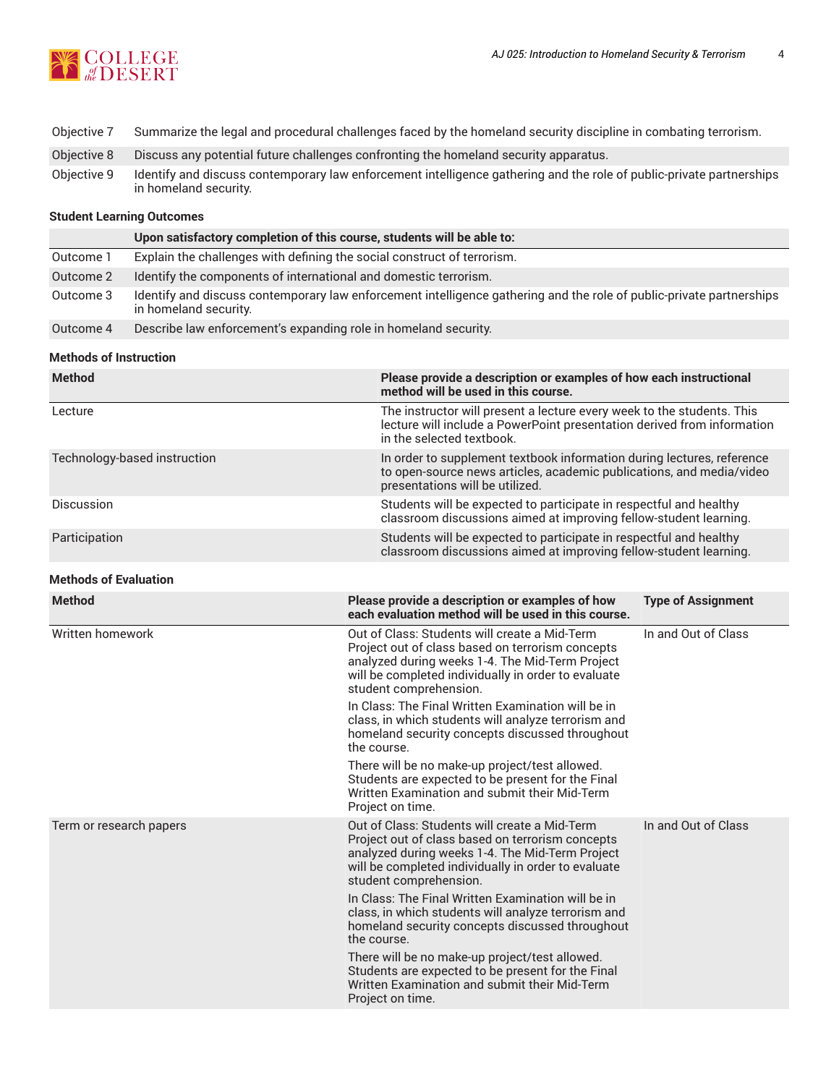

- Objective 7 Summarize the legal and procedural challenges faced by the homeland security discipline in combating terrorism.
- Objective 8 Discuss any potential future challenges confronting the homeland security apparatus.
- Objective 9 Identify and discuss contemporary law enforcement intelligence gathering and the role of public-private partnerships in homeland security.

## **Student Learning Outcomes**

|           | Upon satisfactory completion of this course, students will be able to:                                                                        |
|-----------|-----------------------------------------------------------------------------------------------------------------------------------------------|
| Outcome 1 | Explain the challenges with defining the social construct of terrorism.                                                                       |
| Outcome 2 | Identify the components of international and domestic terrorism.                                                                              |
| Outcome 3 | Identify and discuss contemporary law enforcement intelligence gathering and the role of public-private partnerships<br>in homeland security. |
| Outcome 4 | Describe law enforcement's expanding role in homeland security.                                                                               |

## **Methods of Instruction**

| <b>Method</b>                | Please provide a description or examples of how each instructional<br>method will be used in this course.                                                                         |
|------------------------------|-----------------------------------------------------------------------------------------------------------------------------------------------------------------------------------|
| Lecture                      | The instructor will present a lecture every week to the students. This<br>lecture will include a PowerPoint presentation derived from information<br>in the selected textbook.    |
| Technology-based instruction | In order to supplement textbook information during lectures, reference<br>to open-source news articles, academic publications, and media/video<br>presentations will be utilized. |
| <b>Discussion</b>            | Students will be expected to participate in respectful and healthy<br>classroom discussions aimed at improving fellow-student learning.                                           |
| Participation                | Students will be expected to participate in respectful and healthy<br>classroom discussions aimed at improving fellow-student learning.                                           |

## **Methods of Evaluation**

| <b>Method</b>           | Please provide a description or examples of how<br>each evaluation method will be used in this course.                                                                                                                                | <b>Type of Assignment</b> |
|-------------------------|---------------------------------------------------------------------------------------------------------------------------------------------------------------------------------------------------------------------------------------|---------------------------|
| Written homework        | Out of Class: Students will create a Mid-Term<br>Project out of class based on terrorism concepts<br>analyzed during weeks 1-4. The Mid-Term Project<br>will be completed individually in order to evaluate<br>student comprehension. | In and Out of Class       |
|                         | In Class: The Final Written Examination will be in<br>class, in which students will analyze terrorism and<br>homeland security concepts discussed throughout<br>the course.                                                           |                           |
|                         | There will be no make-up project/test allowed.<br>Students are expected to be present for the Final<br>Written Examination and submit their Mid-Term<br>Project on time.                                                              |                           |
| Term or research papers | Out of Class: Students will create a Mid-Term<br>Project out of class based on terrorism concepts<br>analyzed during weeks 1-4. The Mid-Term Project<br>will be completed individually in order to evaluate<br>student comprehension. | In and Out of Class       |
|                         | In Class: The Final Written Examination will be in<br>class, in which students will analyze terrorism and<br>homeland security concepts discussed throughout<br>the course.                                                           |                           |
|                         | There will be no make-up project/test allowed.<br>Students are expected to be present for the Final<br>Written Examination and submit their Mid-Term<br>Project on time.                                                              |                           |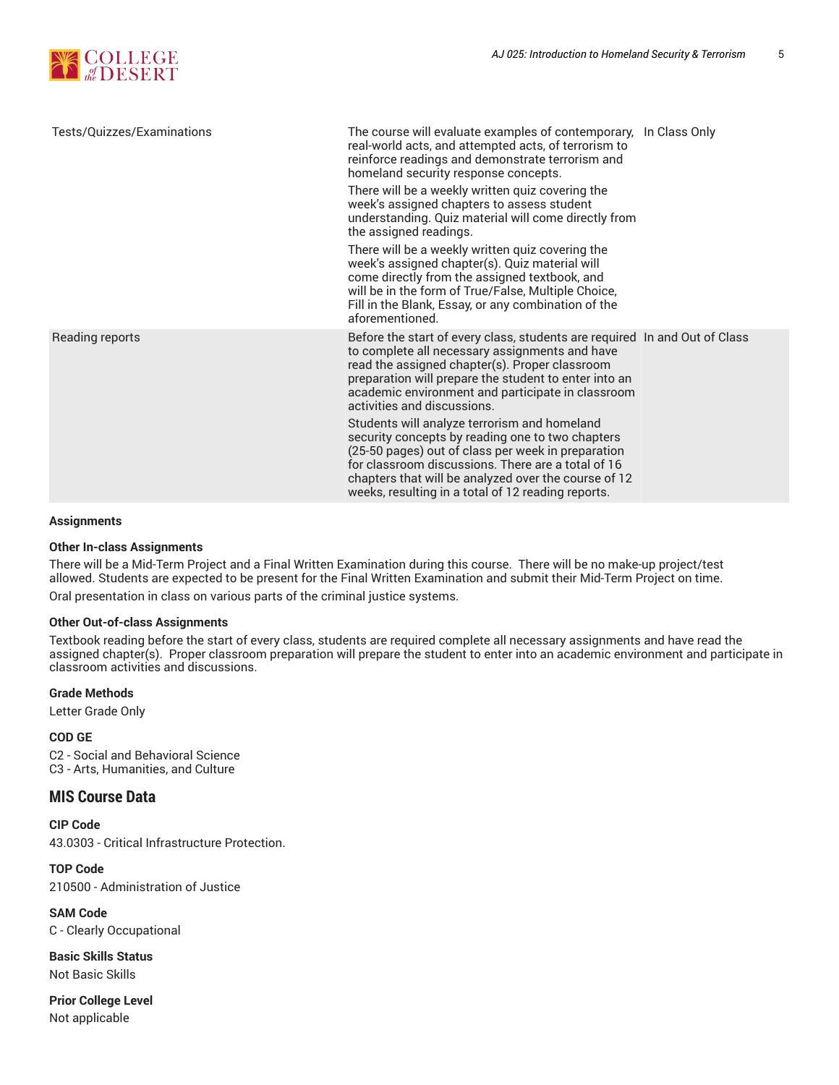

| Tests/Quizzes/Examinations | The course will evaluate examples of contemporary, In Class Only<br>real-world acts, and attempted acts, of terrorism to<br>reinforce readings and demonstrate terrorism and<br>homeland security response concepts.                                                                                                        |  |
|----------------------------|-----------------------------------------------------------------------------------------------------------------------------------------------------------------------------------------------------------------------------------------------------------------------------------------------------------------------------|--|
|                            | There will be a weekly written quiz covering the<br>week's assigned chapters to assess student<br>understanding. Quiz material will come directly from<br>the assigned readings.                                                                                                                                            |  |
|                            | There will be a weekly written quiz covering the<br>week's assigned chapter(s). Quiz material will<br>come directly from the assigned textbook, and<br>will be in the form of True/False, Multiple Choice,<br>Fill in the Blank, Essay, or any combination of the<br>aforementioned.                                        |  |
| Reading reports            | Before the start of every class, students are required In and Out of Class<br>to complete all necessary assignments and have<br>read the assigned chapter(s). Proper classroom<br>preparation will prepare the student to enter into an<br>academic environment and participate in classroom<br>activities and discussions. |  |
|                            | Students will analyze terrorism and homeland<br>security concepts by reading one to two chapters<br>(25-50 pages) out of class per week in preparation<br>for classroom discussions. There are a total of 16<br>chapters that will be analyzed over the course of 12<br>weeks, resulting in a total of 12 reading reports.  |  |

## **Assignments**

#### **Other In-class Assignments**

There will be a Mid-Term Project and a Final Written Examination during this course. There will be no make-up project/test allowed. Students are expected to be present for the Final Written Examination and submit their Mid-Term Project on time.

Oral presentation in class on various parts of the criminal justice systems.

#### **Other Out-of-class Assignments**

Textbook reading before the start of every class, students are required complete all necessary assignments and have read the assigned chapter(s). Proper classroom preparation will prepare the student to enter into an academic environment and participate in classroom activities and discussions.

#### **Grade Methods**

Letter Grade Only

**COD GE** C2 - Social and Behavioral Science C3 - Arts, Humanities, and Culture

## **MIS Course Data**

**CIP Code** 43.0303 - Critical Infrastructure Protection.

**TOP Code** 210500 - Administration of Justice

**SAM Code** C - Clearly Occupational

**Basic Skills Status** Not Basic Skills

**Prior College Level** Not applicable